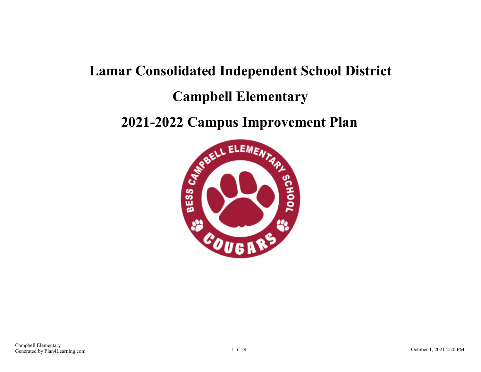# **Lamar Consolidated Independent School District Campbell Elementary**

# **2021-2022 Campus Improvement Plan**

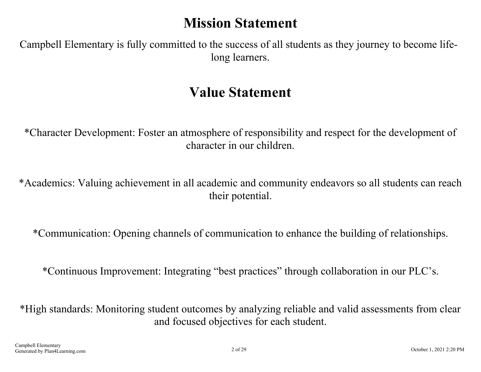# **Mission Statement**

Campbell Elementary is fully committed to the success of all students as they journey to become lifelong learners.

# **Value Statement**

\*Character Development: Foster an atmosphere of responsibility and respect for the development of character in our children.

\*Academics: Valuing achievement in all academic and community endeavors so all students can reach their potential.

\*Communication: Opening channels of communication to enhance the building of relationships.

\*Continuous Improvement: Integrating "best practices" through collaboration in our PLC's.

\*High standards: Monitoring student outcomes by analyzing reliable and valid assessments from clear and focused objectives for each student.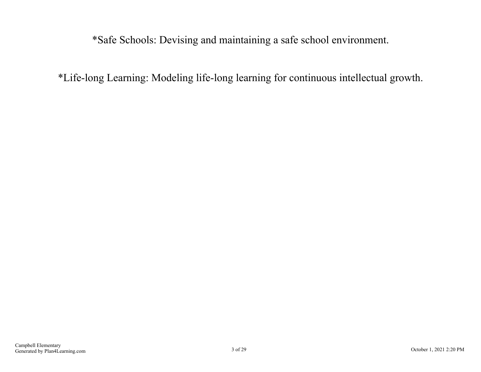\*Safe Schools: Devising and maintaining a safe school environment.

\*Life-long Learning: Modeling life-long learning for continuous intellectual growth.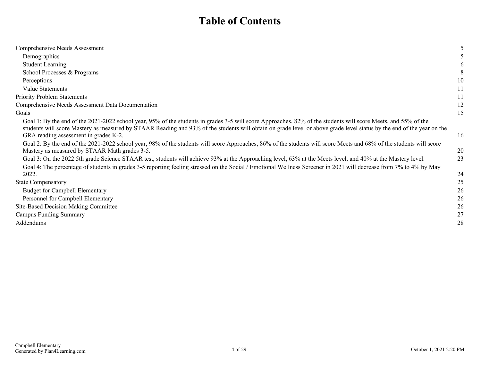## **Table of Contents**

| Comprehensive Needs Assessment                                                                                                                                                                                                                                                                                                          |    |
|-----------------------------------------------------------------------------------------------------------------------------------------------------------------------------------------------------------------------------------------------------------------------------------------------------------------------------------------|----|
| Demographics                                                                                                                                                                                                                                                                                                                            |    |
| <b>Student Learning</b>                                                                                                                                                                                                                                                                                                                 |    |
| School Processes & Programs                                                                                                                                                                                                                                                                                                             |    |
| Perceptions                                                                                                                                                                                                                                                                                                                             | 10 |
| Value Statements                                                                                                                                                                                                                                                                                                                        | 11 |
| <b>Priority Problem Statements</b>                                                                                                                                                                                                                                                                                                      | 11 |
| Comprehensive Needs Assessment Data Documentation                                                                                                                                                                                                                                                                                       | 12 |
| Goals                                                                                                                                                                                                                                                                                                                                   | 15 |
| Goal 1: By the end of the 2021-2022 school year, 95% of the students in grades 3-5 will score Approaches, 82% of the students will score Meets, and 55% of the<br>students will score Mastery as measured by STAAR Reading and 93% of the students will obtain on grade level or above grade level status by the end of the year on the |    |
| GRA reading assessment in grades K-2.                                                                                                                                                                                                                                                                                                   | 16 |
| Goal 2: By the end of the 2021-2022 school year, 98% of the students will score Approaches, 86% of the students will score Meets and 68% of the students will score<br>Mastery as measured by STAAR Math grades 3-5.                                                                                                                    | 20 |
| Goal 3: On the 2022 5th grade Science STAAR test, students will achieve 93% at the Approaching level, 63% at the Meets level, and 40% at the Mastery level.<br>Goal 4: The percentage of students in grades 3-5 reporting feeling stressed on the Social / Emotional Wellness Screener in 2021 will decrease from 7% to 4% by May       | 23 |
| 2022.                                                                                                                                                                                                                                                                                                                                   | 24 |
| <b>State Compensatory</b>                                                                                                                                                                                                                                                                                                               | 25 |
| <b>Budget for Campbell Elementary</b>                                                                                                                                                                                                                                                                                                   | 26 |
| Personnel for Campbell Elementary                                                                                                                                                                                                                                                                                                       | 26 |
| Site-Based Decision Making Committee                                                                                                                                                                                                                                                                                                    | 26 |
| <b>Campus Funding Summary</b>                                                                                                                                                                                                                                                                                                           | 27 |
| Addendums                                                                                                                                                                                                                                                                                                                               | 28 |
|                                                                                                                                                                                                                                                                                                                                         |    |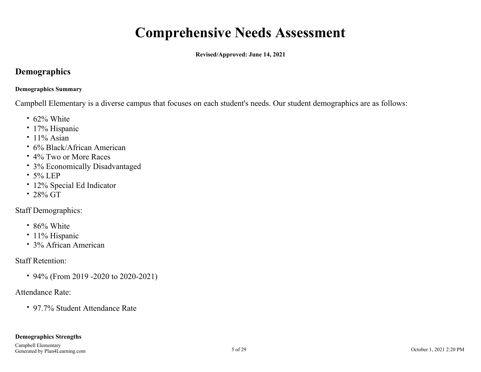# **Comprehensive Needs Assessment**

**Revised/Approved: June 14, 2021**

### <span id="page-4-0"></span>**Demographics**

#### **Demographics Summary**

Campbell Elementary is a diverse campus that focuses on each student's needs. Our student demographics are as follows:

- 62% White
- 17% Hispanic
- $\cdot$  11% Asian
- 6% Black/African American
- 4% Two or More Races
- 3% Economically Disadvantaged
- 5% LEP
- 12% Special Ed Indicator
- $\cdot$  28% GT

### Staff Demographics:

- 86% White
- 11% Hispanic
- 3% African American

### Staff Retention:

• 94% (From 2019 -2020 to 2020-2021)

### Attendance Rate:

97.7% Student Attendance Rate

#### **Demographics Strengths**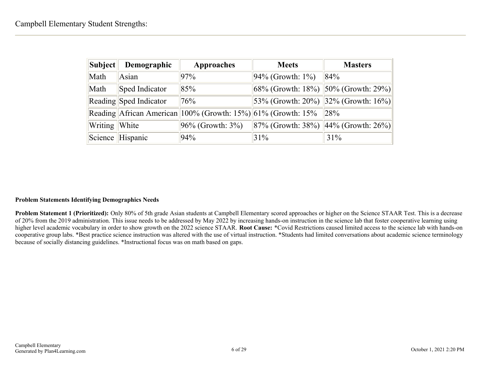| Subject       | Demographic            | <b>Approaches</b>                                             | <b>Meets</b>                                | <b>Masters</b>       |
|---------------|------------------------|---------------------------------------------------------------|---------------------------------------------|----------------------|
| Math          | Asian                  | 97%                                                           | $94\%$ (Growth: 1%)                         | 84%                  |
| Math          | Sped Indicator         | 85%                                                           | 68% (Growth: 18%) $ 50%$ (Growth: 29%)      |                      |
|               | Reading Sped Indicator | 76%                                                           | $ 53\%$ (Growth: 20%) $ 32\%$ (Growth: 16%) |                      |
|               |                        | Reading African American 100% (Growth: 15%) 61% (Growth: 15%) |                                             | 28%                  |
| Writing White |                        | $ 96\%$ (Growth: $3\%$ )                                      | $ 87\%$ (Growth: 38%)                       | $44\%$ (Growth: 26%) |
|               | Science Hispanic       | 94%                                                           | 31%                                         | 31%                  |

#### **Problem Statements Identifying Demographics Needs**

**Problem Statement 1 (Prioritized):** Only 80% of 5th grade Asian students at Campbell Elementary scored approaches or higher on the Science STAAR Test. This is a decrease of 20% from the 2019 administration. This issue needs to be addressed by May 2022 by increasing hands-on instruction in the science lab that foster cooperative learning using higher level academic vocabulary in order to show growth on the 2022 science STAAR. **Root Cause:** \*Covid Restrictions caused limited access to the science lab with hands-on cooperative group labs. \*Best practice science instruction was altered with the use of virtual instruction. \*Students had limited conversations about academic science terminology because of socially distancing guidelines. \*Instructional focus was on math based on gaps.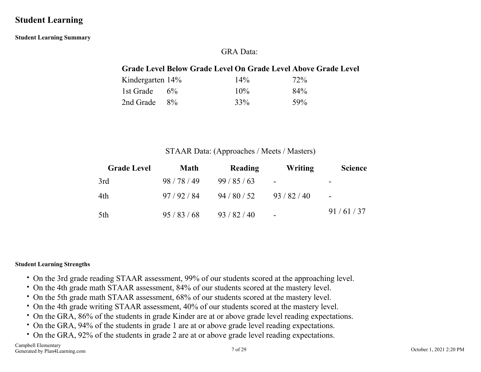### <span id="page-6-0"></span>**Student Learning**

**Student Learning Summary**

### GRA Data:

### **Grade Level Below Grade Level On Grade Level Above Grade Level**

| Kindergarten 14% | 14%    | 72% |
|------------------|--------|-----|
| 1st Grade $6\%$  | $10\%$ | 84% |
| 2nd Grade $8\%$  | 33%    | 59% |

#### STAAR Data: (Approaches / Meets / Masters)

| <b>Grade Level</b> | <b>Math</b> | Reading      | Writing                  | <b>Science</b>           |
|--------------------|-------------|--------------|--------------------------|--------------------------|
| 3rd                | 98/78/49    | 99/85/63     | $\overline{\phantom{a}}$ | $\overline{\phantom{0}}$ |
| 4th                | 97/92/84    | 94/80/52     | 93/82/40                 | $\overline{\phantom{a}}$ |
| 5th                | 95/83/68    | 93 / 82 / 40 | $\sim$                   | 91/61/37                 |

#### **Student Learning Strengths**

- On the 3rd grade reading STAAR assessment, 99% of our students scored at the approaching level.
- On the 4th grade math STAAR assessment, 84% of our students scored at the mastery level.
- On the 5th grade math STAAR assessment, 68% of our students scored at the mastery level.
- On the 4th grade writing STAAR assessment, 40% of our students scored at the mastery level.
- On the GRA, 86% of the students in grade Kinder are at or above grade level reading expectations.
- On the GRA, 94% of the students in grade 1 are at or above grade level reading expectations.
- On the GRA, 92% of the students in grade 2 are at or above grade level reading expectations.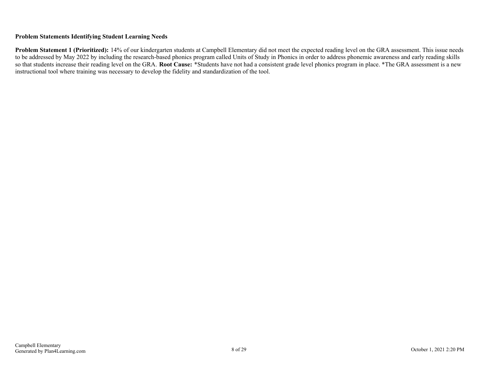#### **Problem Statements Identifying Student Learning Needs**

**Problem Statement 1 (Prioritized):** 14% of our kindergarten students at Campbell Elementary did not meet the expected reading level on the GRA assessment. This issue needs to be addressed by May 2022 by including the research-based phonics program called Units of Study in Phonics in order to address phonemic awareness and early reading skills so that students increase their reading level on the GRA. **Root Cause:** \*Students have not had a consistent grade level phonics program in place. \*The GRA assessment is a new instructional tool where training was necessary to develop the fidelity and standardization of the tool.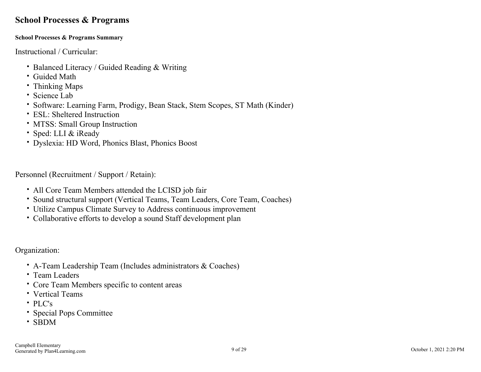### <span id="page-8-0"></span>**School Processes & Programs**

#### **School Processes & Programs Summary**

Instructional / Curricular:

- Balanced Literacy / Guided Reading & Writing
- Guided Math
- Thinking Maps
- Science Lab
- Software: Learning Farm, Prodigy, Bean Stack, Stem Scopes, ST Math (Kinder)
- ESL: Sheltered Instruction
- MTSS: Small Group Instruction
- Sped: LLI & iReady
- Dyslexia: HD Word, Phonics Blast, Phonics Boost

Personnel (Recruitment / Support / Retain):

- All Core Team Members attended the LCISD job fair
- Sound structural support (Vertical Teams, Team Leaders, Core Team, Coaches)
- Utilize Campus Climate Survey to Address continuous improvement
- Collaborative efforts to develop a sound Staff development plan

Organization:

- A-Team Leadership Team (Includes administrators & Coaches)
- Team Leaders
- Core Team Members specific to content areas
- Vertical Teams
- PLC's
- Special Pops Committee
- SBDM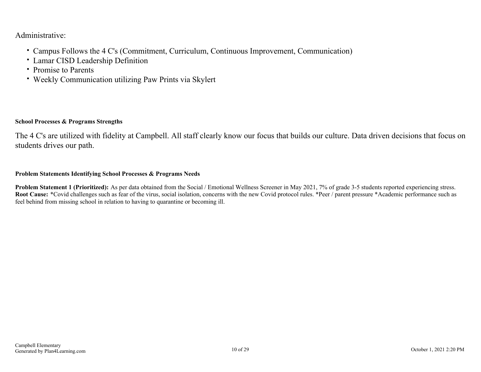Administrative:

- Campus Follows the 4 C's (Commitment, Curriculum, Continuous Improvement, Communication)
- Lamar CISD Leadership Definition
- Promise to Parents
- Weekly Communication utilizing Paw Prints via Skylert

#### **School Processes & Programs Strengths**

The 4 C's are utilized with fidelity at Campbell. All staff clearly know our focus that builds our culture. Data driven decisions that focus on students drives our path.

#### **Problem Statements Identifying School Processes & Programs Needs**

**Problem Statement 1 (Prioritized):** As per data obtained from the Social / Emotional Wellness Screener in May 2021, 7% of grade 3-5 students reported experiencing stress. Root Cause: \*Covid challenges such as fear of the virus, social isolation, concerns with the new Covid protocol rules. \*Peer / parent pressure \*Academic performance such as feel behind from missing school in relation to having to quarantine or becoming ill.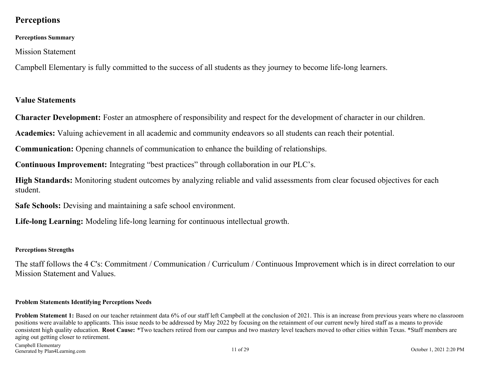### <span id="page-10-0"></span>**Perceptions**

#### **Perceptions Summary**

Mission Statement

Campbell Elementary is fully committed to the success of all students as they journey to become life-long learners.

#### **Value Statements**

**Character Development:** Foster an atmosphere of responsibility and respect for the development of character in our children.

**Academics:** Valuing achievement in all academic and community endeavors so all students can reach their potential.

**Communication:** Opening channels of communication to enhance the building of relationships.

**Continuous Improvement:** Integrating "best practices" through collaboration in our PLC's.

**High Standards:** Monitoring student outcomes by analyzing reliable and valid assessments from clear focused objectives for each student.

**Safe Schools:** Devising and maintaining a safe school environment.

**Life-long Learning:** Modeling life-long learning for continuous intellectual growth.

#### **Perceptions Strengths**

The staff follows the 4 C's: Commitment / Communication / Curriculum / Continuous Improvement which is in direct correlation to our Mission Statement and Values.

#### **Problem Statements Identifying Perceptions Needs**

**Problem Statement 1:** Based on our teacher retainment data 6% of our staff left Campbell at the conclusion of 2021. This is an increase from previous years where no classroom positions were available to applicants. This issue needs to be addressed by May 2022 by focusing on the retainment of our current newly hired staff as a means to provide consistent high quality education. **Root Cause:** \*Two teachers retired from our campus and two mastery level teachers moved to other cities within Texas. \*Staff members are aging out getting closer to retirement.

Campbell Elementary Generated by Plan4Learning.com 1.1 of 29 October 1, 2021 2:20 PM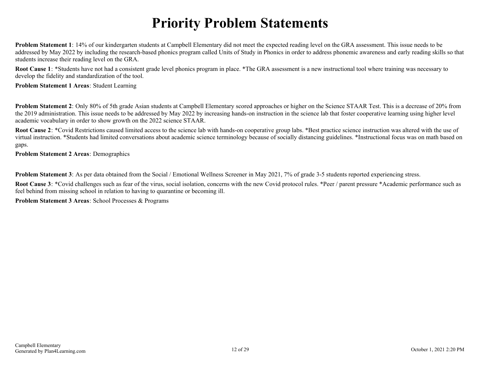# **Priority Problem Statements**

<span id="page-11-0"></span>**Problem Statement 1**: 14% of our kindergarten students at Campbell Elementary did not meet the expected reading level on the GRA assessment. This issue needs to be addressed by May 2022 by including the research-based phonics program called Units of Study in Phonics in order to address phonemic awareness and early reading skills so that students increase their reading level on the GRA.

**Root Cause 1**: \*Students have not had a consistent grade level phonics program in place. \*The GRA assessment is a new instructional tool where training was necessary to develop the fidelity and standardization of the tool.

**Problem Statement 1 Areas**: Student Learning

**Problem Statement 2**: Only 80% of 5th grade Asian students at Campbell Elementary scored approaches or higher on the Science STAAR Test. This is a decrease of 20% from the 2019 administration. This issue needs to be addressed by May 2022 by increasing hands-on instruction in the science lab that foster cooperative learning using higher level academic vocabulary in order to show growth on the 2022 science STAAR.

**Root Cause 2**: \*Covid Restrictions caused limited access to the science lab with hands-on cooperative group labs. \*Best practice science instruction was altered with the use of virtual instruction. \*Students had limited conversations about academic science terminology because of socially distancing guidelines. \*Instructional focus was on math based on gaps.

**Problem Statement 2 Areas**: Demographics

**Problem Statement 3**: As per data obtained from the Social / Emotional Wellness Screener in May 2021, 7% of grade 3-5 students reported experiencing stress.

**Root Cause 3**: \*Covid challenges such as fear of the virus, social isolation, concerns with the new Covid protocol rules. \*Peer / parent pressure \*Academic performance such as feel behind from missing school in relation to having to quarantine or becoming ill.

**Problem Statement 3 Areas**: School Processes & Programs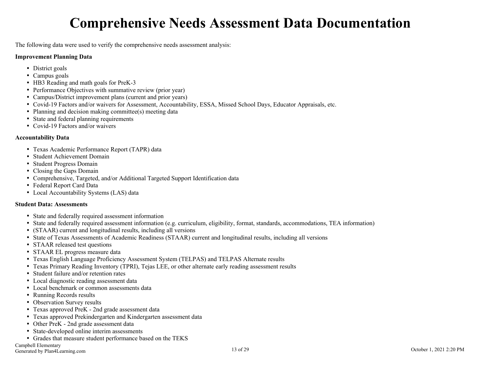# **Comprehensive Needs Assessment Data Documentation**

<span id="page-12-0"></span>The following data were used to verify the comprehensive needs assessment analysis:

#### **Improvement Planning Data**

- District goals
- Campus goals
- HB3 Reading and math goals for PreK-3
- Performance Objectives with summative review (prior year)
- Campus/District improvement plans (current and prior years)
- Covid-19 Factors and/or waivers for Assessment, Accountability, ESSA, Missed School Days, Educator Appraisals, etc.
- Planning and decision making committee(s) meeting data
- State and federal planning requirements
- Covid-19 Factors and/or waivers

#### **Accountability Data**

- Texas Academic Performance Report (TAPR) data
- Student Achievement Domain
- Student Progress Domain
- Closing the Gaps Domain
- Comprehensive, Targeted, and/or Additional Targeted Support Identification data
- Federal Report Card Data
- Local Accountability Systems (LAS) data

#### **Student Data: Assessments**

- State and federally required assessment information
- State and federally required assessment information (e.g. curriculum, eligibility, format, standards, accommodations, TEA information)
- (STAAR) current and longitudinal results, including all versions
- State of Texas Assessments of Academic Readiness (STAAR) current and longitudinal results, including all versions
- STAAR released test questions
- STAAR EL progress measure data
- Texas English Language Proficiency Assessment System (TELPAS) and TELPAS Alternate results
- Texas Primary Reading Inventory (TPRI), Tejas LEE, or other alternate early reading assessment results
- Student failure and/or retention rates
- Local diagnostic reading assessment data
- Local benchmark or common assessments data
- Running Records results
- Observation Survey results
- Texas approved PreK 2nd grade assessment data
- Texas approved Prekindergarten and Kindergarten assessment data
- Other PreK 2nd grade assessment data
- State-developed online interim assessments
- Grades that measure student performance based on the TEKS

Campbell Elementary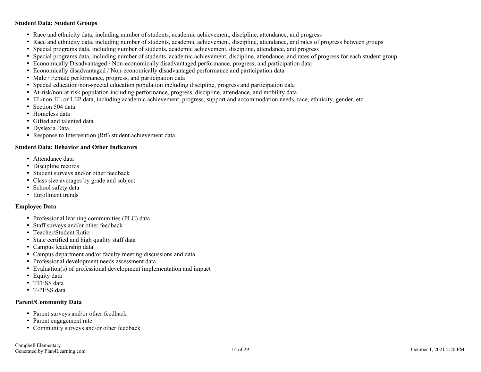#### **Student Data: Student Groups**

- Race and ethnicity data, including number of students, academic achievement, discipline, attendance, and progress
- Race and ethnicity data, including number of students, academic achievement, discipline, attendance, and rates of progress between groups
- Special programs data, including number of students, academic achievement, discipline, attendance, and progress
- Special programs data, including number of students, academic achievement, discipline, attendance, and rates of progress for each student group
- Economically Disadvantaged / Non-economically disadvantaged performance, progress, and participation data
- Economically disadvantaged / Non-economically disadvantaged performance and participation data
- Male / Female performance, progress, and participation data
- Special education/non-special education population including discipline, progress and participation data
- At-risk/non-at-risk population including performance, progress, discipline, attendance, and mobility data
- EL/non-EL or LEP data, including academic achievement, progress, support and accommodation needs, race, ethnicity, gender, etc.
- Section 504 data
- Homeless data
- Gifted and talented data
- Dyslexia Data
- Response to Intervention (RtI) student achievement data

#### **Student Data: Behavior and Other Indicators**

- Attendance data
- Discipline records
- Student surveys and/or other feedback
- Class size averages by grade and subject
- School safety data
- Enrollment trends

#### **Employee Data**

- Professional learning communities (PLC) data
- Staff surveys and/or other feedback
- Teacher/Student Ratio
- State certified and high quality staff data
- Campus leadership data
- Campus department and/or faculty meeting discussions and data
- Professional development needs assessment data
- Evaluation(s) of professional development implementation and impact
- Equity data
- TTESS data
- T-PESS data

#### **Parent/Community Data**

- Parent surveys and/or other feedback
- Parent engagement rate
- Community surveys and/or other feedback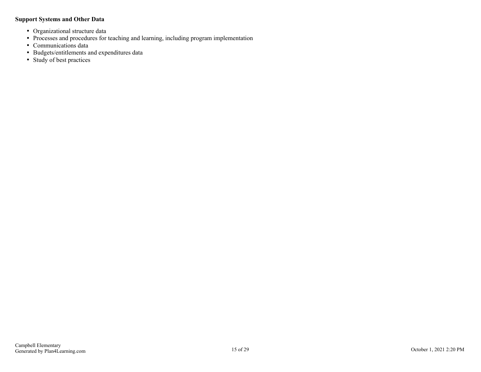#### **Support Systems and Other Data**

- Organizational structure data
- Processes and procedures for teaching and learning, including program implementation
- Communications data
- Budgets/entitlements and expenditures data
- Study of best practices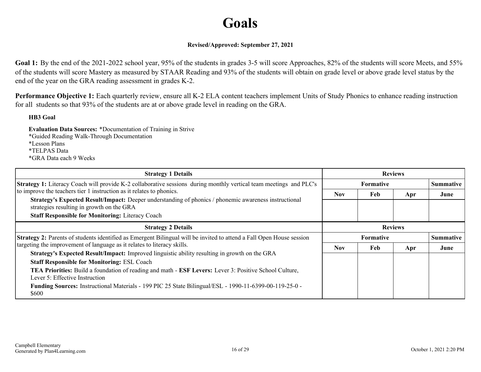# **Goals**

#### **Revised/Approved: September 27, 2021**

<span id="page-15-0"></span>Goal 1: By the end of the 2021-2022 school year, 95% of the students in grades 3-5 will score Approaches, 82% of the students will score Meets, and 55% of the students will score Mastery as measured by STAAR Reading and 93% of the students will obtain on grade level or above grade level status by the end of the year on the GRA reading assessment in grades K-2.

**Performance Objective 1:** Each quarterly review, ensure all K-2 ELA content teachers implement Units of Study Phonics to enhance reading instruction for all students so that 93% of the students are at or above grade level in reading on the GRA.

#### **HB3 Goal**

**Evaluation Data Sources:** \*Documentation of Training in Strive \*Guided Reading Walk-Through Documentation \*Lesson Plans \*TELPAS Data \*GRA Data each 9 Weeks

| <b>Strategy 1 Details</b>                                                                                                                              | <b>Reviews</b>                       |                  |     |                  |
|--------------------------------------------------------------------------------------------------------------------------------------------------------|--------------------------------------|------------------|-----|------------------|
| <b>Strategy 1:</b> Literacy Coach will provide K-2 collaborative sessions during monthly vertical team meetings and PLC's                              |                                      | <b>Formative</b> |     | <b>Summative</b> |
| to improve the teachers tier 1 instruction as it relates to phonics.                                                                                   | Nov.                                 | Feb              | Apr | June             |
| Strategy's Expected Result/Impact: Deeper understanding of phonics / phonemic awareness instructional<br>strategies resulting in growth on the GRA     |                                      |                  |     |                  |
| <b>Staff Responsible for Monitoring: Literacy Coach</b>                                                                                                |                                      |                  |     |                  |
| <b>Strategy 2 Details</b>                                                                                                                              | <b>Reviews</b>                       |                  |     |                  |
| <b>Strategy 2:</b> Parents of students identified as Emergent Bilingual will be invited to attend a Fall Open House session                            | <b>Formative</b><br><b>Summative</b> |                  |     |                  |
| targeting the improvement of language as it relates to literacy skills.                                                                                | Nov.                                 | Feb              | Apr | June             |
| <b>Strategy's Expected Result/Impact:</b> Improved linguistic ability resulting in growth on the GRA                                                   |                                      |                  |     |                  |
| <b>Staff Responsible for Monitoring: ESL Coach</b>                                                                                                     |                                      |                  |     |                  |
| <b>TEA Priorities:</b> Build a foundation of reading and math - <b>ESF Levers:</b> Lever 3: Positive School Culture,<br>Lever 5: Effective Instruction |                                      |                  |     |                  |
| Funding Sources: Instructional Materials - 199 PIC 25 State Bilingual/ESL - 1990-11-6399-00-119-25-0 -<br>\$600                                        |                                      |                  |     |                  |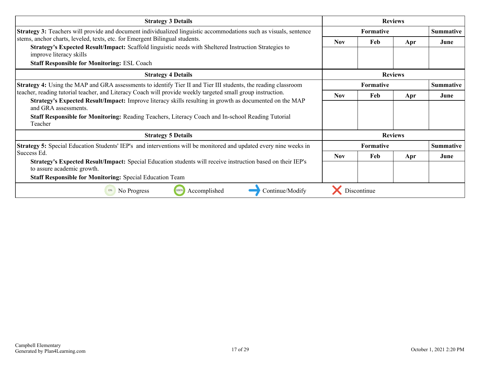| <b>Strategy 3 Details</b>                                                                                                                                                                                                                                             | <b>Reviews</b>   |             |                |                  |
|-----------------------------------------------------------------------------------------------------------------------------------------------------------------------------------------------------------------------------------------------------------------------|------------------|-------------|----------------|------------------|
| <b>Strategy 3:</b> Teachers will provide and document individualized linguistic accommodations such as visuals, sentence                                                                                                                                              | Formative        |             |                | <b>Summative</b> |
| stems, anchor charts, leveled, texts, etc. for Emergent Bilingual students.<br>Strategy's Expected Result/Impact: Scaffold linguistic needs with Sheltered Instruction Strategies to<br>improve literacy skills<br><b>Staff Responsible for Monitoring: ESL Coach</b> | <b>Nov</b>       | Feb         | Apr            | June             |
| <b>Strategy 4 Details</b>                                                                                                                                                                                                                                             |                  |             | <b>Reviews</b> |                  |
| Strategy 4: Using the MAP and GRA assessments to identify Tier II and Tier III students, the reading classroom                                                                                                                                                        | <b>Formative</b> |             |                | <b>Summative</b> |
| teacher, reading tutorial teacher, and Literacy Coach will provide weekly targeted small group instruction.                                                                                                                                                           | <b>Nov</b>       | Feb         | Apr            | June             |
| Strategy's Expected Result/Impact: Improve literacy skills resulting in growth as documented on the MAP<br>and GRA assessments.<br><b>Staff Responsible for Monitoring:</b> Reading Teachers, Literacy Coach and In-school Reading Tutorial                           |                  |             |                |                  |
| Teacher                                                                                                                                                                                                                                                               |                  |             |                |                  |
| <b>Strategy 5 Details</b>                                                                                                                                                                                                                                             | <b>Reviews</b>   |             |                |                  |
| <b>Strategy 5:</b> Special Education Students' IEP's and interventions will be monitored and updated every nine weeks in                                                                                                                                              |                  | Formative   |                | <b>Summative</b> |
| Success Ed.                                                                                                                                                                                                                                                           | <b>Nov</b>       | Feb         | Apr            | June             |
| Strategy's Expected Result/Impact: Special Education students will receive instruction based on their IEP's<br>to assure academic growth.                                                                                                                             |                  |             |                |                  |
| <b>Staff Responsible for Monitoring: Special Education Team</b>                                                                                                                                                                                                       |                  |             |                |                  |
| 100%<br>Accomplished<br>Continue/Modify<br>0%<br>No Progress                                                                                                                                                                                                          |                  | Discontinue |                |                  |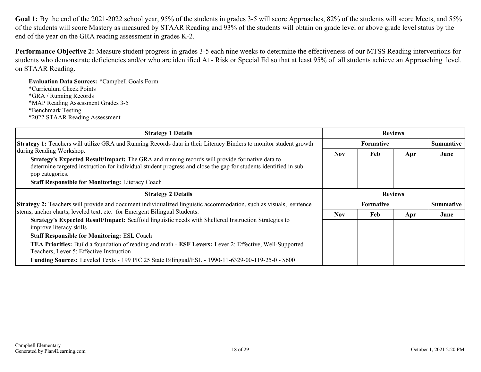Goal 1: By the end of the 2021-2022 school year, 95% of the students in grades 3-5 will score Approaches, 82% of the students will score Meets, and 55% of the students will score Mastery as measured by STAAR Reading and 93% of the students will obtain on grade level or above grade level status by the end of the year on the GRA reading assessment in grades K-2.

**Performance Objective 2:** Measure student progress in grades 3-5 each nine weeks to determine the effectiveness of our MTSS Reading interventions for students who demonstrate deficiencies and/or who are identified At - Risk or Special Ed so that at least 95% of all students achieve an Approaching level. on STAAR Reading.

**Evaluation Data Sources:** \*Campbell Goals Form \*Curriculum Check Points \*GRA / Running Records \*MAP Reading Assessment Grades 3-5 \*Benchmark Testing \*2022 STAAR Reading Assessment

| <b>Strategy 1 Details</b>                                                                                                                                                                     |                  | <b>Reviews</b>   |     |                  |
|-----------------------------------------------------------------------------------------------------------------------------------------------------------------------------------------------|------------------|------------------|-----|------------------|
| Strategy 1: Teachers will utilize GRA and Running Records data in their Literacy Binders to monitor student growth                                                                            |                  | <b>Formative</b> |     | <b>Summative</b> |
| during Reading Workshop.<br><b>Strategy's Expected Result/Impact:</b> The GRA and running records will provide formative data to                                                              | <b>Nov</b>       | Feb              | Apr | June             |
| determine targeted instruction for individual student progress and close the gap for students identified in sub<br>pop categories.<br><b>Staff Responsible for Monitoring: Literacy Coach</b> |                  |                  |     |                  |
| <b>Strategy 2 Details</b>                                                                                                                                                                     |                  | <b>Reviews</b>   |     |                  |
| <b>Strategy 2:</b> Teachers will provide and document individualized linguistic accommodation, such as visuals, sentence                                                                      | <b>Formative</b> |                  |     | <b>Summative</b> |
| stems, anchor charts, leveled text, etc. for Emergent Bilingual Students.                                                                                                                     | <b>Nov</b>       | Feb              | Apr | June             |
| Strategy's Expected Result/Impact: Scaffold linguistic needs with Sheltered Instruction Strategies to<br>improve literacy skills                                                              |                  |                  |     |                  |
| <b>Staff Responsible for Monitoring: ESL Coach</b>                                                                                                                                            |                  |                  |     |                  |
| TEA Priorities: Build a foundation of reading and math - ESF Levers: Lever 2: Effective, Well-Supported<br>Teachers, Lever 5: Effective Instruction                                           |                  |                  |     |                  |
| <b>Funding Sources:</b> Leveled Texts - 199 PIC 25 State Bilingual/ESL - 1990-11-6329-00-119-25-0 - \$600                                                                                     |                  |                  |     |                  |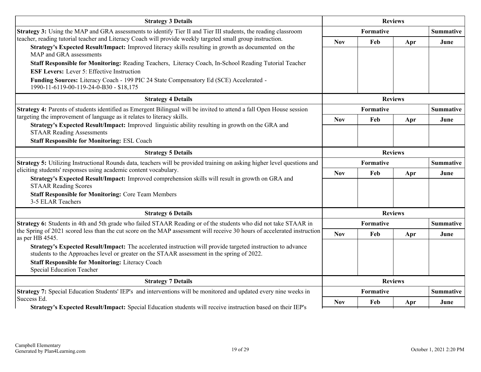| Strategy 3: Using the MAP and GRA assessments to identify Tier II and Tier III students, the reading classroom<br>teacher, reading tutorial teacher and Literacy Coach will provide weekly targeted small group instruction.<br>Strategy's Expected Result/Impact: Improved literacy skills resulting in growth as documented on the | <b>Nov</b>                           | Formative<br>Feb |                | <b>Summative</b> |
|--------------------------------------------------------------------------------------------------------------------------------------------------------------------------------------------------------------------------------------------------------------------------------------------------------------------------------------|--------------------------------------|------------------|----------------|------------------|
|                                                                                                                                                                                                                                                                                                                                      |                                      |                  |                |                  |
|                                                                                                                                                                                                                                                                                                                                      |                                      |                  | Apr            | June             |
| MAP and GRA assessments                                                                                                                                                                                                                                                                                                              |                                      |                  |                |                  |
| Staff Responsible for Monitoring: Reading Teachers, Literacy Coach, In-School Reading Tutorial Teacher                                                                                                                                                                                                                               |                                      |                  |                |                  |
| <b>ESF Levers:</b> Lever 5: Effective Instruction                                                                                                                                                                                                                                                                                    |                                      |                  |                |                  |
| Funding Sources: Literacy Coach - 199 PIC 24 State Compensatory Ed (SCE) Accelerated -<br>1990-11-6119-00-119-24-0-B30 - \$18,175                                                                                                                                                                                                    |                                      |                  |                |                  |
| <b>Strategy 4 Details</b>                                                                                                                                                                                                                                                                                                            |                                      |                  | <b>Reviews</b> |                  |
| <b>Strategy 4:</b> Parents of students identified as Emergent Bilingual will be invited to attend a fall Open House session                                                                                                                                                                                                          |                                      | <b>Formative</b> |                | <b>Summative</b> |
| targeting the improvement of language as it relates to literacy skills.<br>Strategy's Expected Result/Impact: Improved linguistic ability resulting in growth on the GRA and                                                                                                                                                         | <b>Nov</b>                           | Feb              | Apr            | June             |
| <b>STAAR Reading Assessments</b>                                                                                                                                                                                                                                                                                                     |                                      |                  |                |                  |
| <b>Staff Responsible for Monitoring: ESL Coach</b>                                                                                                                                                                                                                                                                                   |                                      |                  |                |                  |
| <b>Strategy 5 Details</b>                                                                                                                                                                                                                                                                                                            | <b>Reviews</b>                       |                  |                |                  |
| Strategy 5: Utilizing Instructional Rounds data, teachers will be provided training on asking higher level questions and                                                                                                                                                                                                             | <b>Formative</b><br><b>Summative</b> |                  |                |                  |
| eliciting students' responses using academic content vocabulary.                                                                                                                                                                                                                                                                     | <b>Nov</b>                           | Feb              | Apr            | June             |
| Strategy's Expected Result/Impact: Improved comprehension skills will result in growth on GRA and<br><b>STAAR Reading Scores</b>                                                                                                                                                                                                     |                                      |                  |                |                  |
| <b>Staff Responsible for Monitoring: Core Team Members</b><br>3-5 ELAR Teachers                                                                                                                                                                                                                                                      |                                      |                  |                |                  |
| <b>Strategy 6 Details</b>                                                                                                                                                                                                                                                                                                            |                                      |                  | <b>Reviews</b> |                  |
| Strategy 6: Students in 4th and 5th grade who failed STAAR Reading or of the students who did not take STAAR in                                                                                                                                                                                                                      |                                      | <b>Formative</b> |                | <b>Summative</b> |
| the Spring of 2021 scored less than the cut score on the MAP assessment will receive 30 hours of accelerated instruction<br>as per HB 4545.                                                                                                                                                                                          | <b>Nov</b>                           | Feb              | Apr            | June             |
| Strategy's Expected Result/Impact: The accelerated instruction will provide targeted instruction to advance<br>students to the Approaches level or greater on the STAAR assessment in the spring of 2022.                                                                                                                            |                                      |                  |                |                  |
| <b>Staff Responsible for Monitoring: Literacy Coach</b><br><b>Special Education Teacher</b>                                                                                                                                                                                                                                          |                                      |                  |                |                  |
| <b>Strategy 7 Details</b>                                                                                                                                                                                                                                                                                                            | <b>Reviews</b>                       |                  |                |                  |
| Strategy 7: Special Education Students' IEP's and interventions will be monitored and updated every nine weeks in                                                                                                                                                                                                                    |                                      | <b>Formative</b> |                | <b>Summative</b> |
| Success Ed.<br>Strategy's Expected Result/Impact: Special Education students will receive instruction based on their IEP's                                                                                                                                                                                                           | <b>Nov</b>                           | Feb              | Apr            | June             |

**Strategy's Expected Result/Impact:** Special Education students will receive instruction based on their IEP's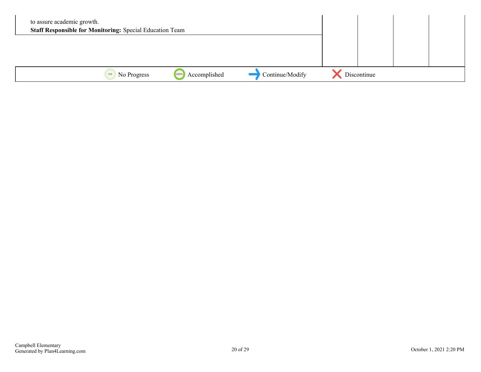| to assure academic growth. | <b>Staff Responsible for Monitoring: Special Education Team</b> |                      |                 |             |  |
|----------------------------|-----------------------------------------------------------------|----------------------|-----------------|-------------|--|
|                            |                                                                 |                      |                 |             |  |
|                            | No Progress<br>0%                                               | Accomplished<br>100% | Continue/Modify | Discontinue |  |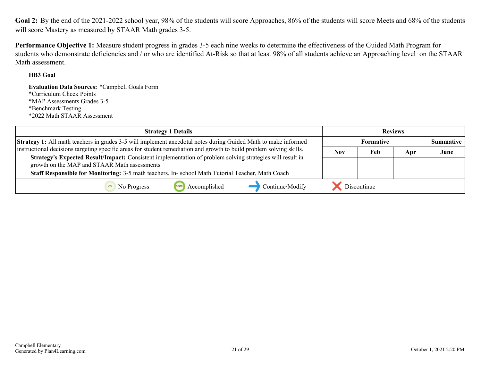<span id="page-20-0"></span>**Goal 2:** By the end of the 2021-2022 school year, 98% of the students will score Approaches, 86% of the students will score Meets and 68% of the students will score Mastery as measured by STAAR Math grades 3-5.

**Performance Objective 1:** Measure student progress in grades 3-5 each nine weeks to determine the effectiveness of the Guided Math Program for students who demonstrate deficiencies and / or who are identified At-Risk so that at least 98% of all students achieve an Approaching level on the STAAR Math assessment.

#### **HB3 Goal**

**Evaluation Data Sources:** \*Campbell Goals Form \*Curriculum Check Points \*MAP Assessments Grades 3-5 \*Benchmark Testing \*2022 Math STAAR Assessment

| <b>Strategy 1 Details</b>                                                                                                                                 |                               | <b>Reviews</b> |     |      |
|-----------------------------------------------------------------------------------------------------------------------------------------------------------|-------------------------------|----------------|-----|------|
| <b>Strategy 1:</b> All math teachers in grades 3-5 will implement anecdotal notes during Guided Math to make informed                                     | <b>Formative</b><br>Summative |                |     |      |
| instructional decisions targeting specific areas for student remediation and growth to build problem solving skills.                                      | <b>Nov</b>                    | Feb            | Apr | June |
| Strategy's Expected Result/Impact: Consistent implementation of problem solving strategies will result in<br>growth on the MAP and STAAR Math assessments |                               |                |     |      |
| Staff Responsible for Monitoring: 3-5 math teachers, In-school Math Tutorial Teacher, Math Coach                                                          |                               |                |     |      |
| Continue/Modify<br>Accomplished<br>No Progress                                                                                                            |                               | Discontinue    |     |      |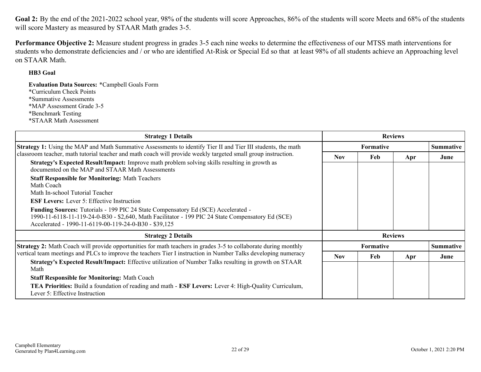Goal 2: By the end of the 2021-2022 school year, 98% of the students will score Approaches, 86% of the students will score Meets and 68% of the students will score Mastery as measured by STAAR Math grades 3-5.

**Performance Objective 2:** Measure student progress in grades 3-5 each nine weeks to determine the effectiveness of our MTSS math interventions for students who demonstrate deficiencies and / or who are identified At-Risk or Special Ed so that at least 98% of all students achieve an Approaching level on STAAR Math.

#### **HB3 Goal**

**Evaluation Data Sources:** \*Campbell Goals Form \*Curriculum Check Points \*Summative Assessments \*MAP Assessment Grade 3-5 \*Benchmark Testing \*STAAR Math Assessment

| <b>Strategy 1 Details</b>                                                                                                                                                                                                                       | <b>Reviews</b>   |                |                  |                  |
|-------------------------------------------------------------------------------------------------------------------------------------------------------------------------------------------------------------------------------------------------|------------------|----------------|------------------|------------------|
| <b>Strategy 1:</b> Using the MAP and Math Summative Assessments to identify Tier II and Tier III students, the math                                                                                                                             | <b>Formative</b> |                |                  | <b>Summative</b> |
| classroom teacher, math tutorial teacher and math coach will provide weekly targeted small group instruction.                                                                                                                                   | <b>Nov</b>       | Feb            | Apr              | June             |
| <b>Strategy's Expected Result/Impact:</b> Improve math problem solving skills resulting in growth as<br>documented on the MAP and STAAR Math Assessments                                                                                        |                  |                |                  |                  |
| <b>Staff Responsible for Monitoring: Math Teachers</b><br>Math Coach<br>Math In-school Tutorial Teacher                                                                                                                                         |                  |                |                  |                  |
| <b>ESF Levers:</b> Lever 5: Effective Instruction                                                                                                                                                                                               |                  |                |                  |                  |
| Funding Sources: Tutorials - 199 PIC 24 State Compensatory Ed (SCE) Accelerated -<br>1990-11-6118-11-119-24-0-B30 - \$2,640, Math Facilitator - 199 PIC 24 State Compensatory Ed (SCE)<br>Accelerated - 1990-11-6119-00-119-24-0-B30 - \$39,125 |                  |                |                  |                  |
| <b>Strategy 2 Details</b>                                                                                                                                                                                                                       |                  | <b>Reviews</b> |                  |                  |
| <b>Strategy 2:</b> Math Coach will provide opportunities for math teachers in grades 3-5 to collaborate during monthly                                                                                                                          | <b>Formative</b> |                | <b>Summative</b> |                  |
| vertical team meetings and PLCs to improve the teachers Tier I instruction in Number Talks developing numeracy                                                                                                                                  | <b>Nov</b>       | Feb            | Apr              | June             |
| Strategy's Expected Result/Impact: Effective utilization of Number Talks resulting in growth on STAAR<br>Math                                                                                                                                   |                  |                |                  |                  |
| <b>Staff Responsible for Monitoring: Math Coach</b>                                                                                                                                                                                             |                  |                |                  |                  |
| <b>TEA Priorities:</b> Build a foundation of reading and math - <b>ESF Levers:</b> Lever 4: High-Quality Curriculum,<br>Lever 5: Effective Instruction                                                                                          |                  |                |                  |                  |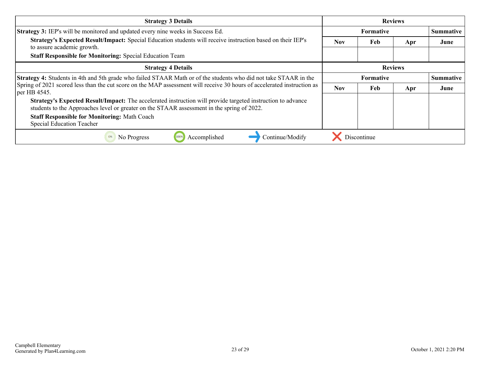| <b>Strategy 3 Details</b>                                                                                                                                                                                        | <b>Reviews</b>                |             |                |           |
|------------------------------------------------------------------------------------------------------------------------------------------------------------------------------------------------------------------|-------------------------------|-------------|----------------|-----------|
| <b>Strategy 3:</b> IEP's will be monitored and updated every nine weeks in Success Ed.                                                                                                                           | <b>Formative</b>              |             |                | Summative |
| Strategy's Expected Result/Impact: Special Education students will receive instruction based on their IEP's<br>to assure academic growth.                                                                        | <b>Nov</b>                    | Feb         | Apr            | June      |
| <b>Staff Responsible for Monitoring: Special Education Team</b>                                                                                                                                                  |                               |             |                |           |
| <b>Strategy 4 Details</b>                                                                                                                                                                                        |                               |             | <b>Reviews</b> |           |
| Strategy 4: Students in 4th and 5th grade who failed STAAR Math or of the students who did not take STAAR in the                                                                                                 | Summative<br><b>Formative</b> |             |                |           |
| Spring of 2021 scored less than the cut score on the MAP assessment will receive 30 hours of accelerated instruction as<br>per HB 4545.                                                                          |                               | Feb         | Apr            | June      |
| <b>Strategy's Expected Result/Impact:</b> The accelerated instruction will provide targeted instruction to advance<br>students to the Approaches level or greater on the STAAR assessment in the spring of 2022. |                               |             |                |           |
| <b>Staff Responsible for Monitoring: Math Coach</b>                                                                                                                                                              |                               |             |                |           |
| <b>Special Education Teacher</b>                                                                                                                                                                                 |                               |             |                |           |
| Accomplished<br>Continue/Modify<br>No Progress<br>100%<br>0%                                                                                                                                                     |                               | Discontinue |                |           |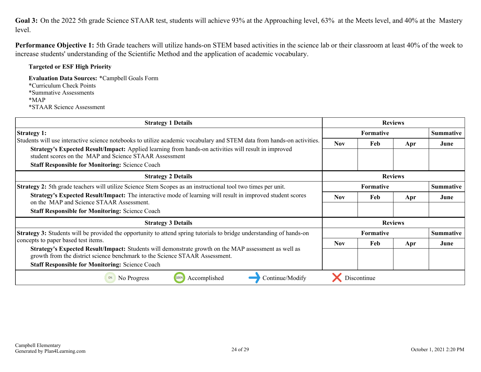<span id="page-23-0"></span>**Goal 3:** On the 2022 5th grade Science STAAR test, students will achieve 93% at the Approaching level, 63% at the Meets level, and 40% at the Mastery level.

**Performance Objective 1:** 5th Grade teachers will utilize hands-on STEM based activities in the science lab or their classroom at least 40% of the week to increase students' understanding of the Scientific Method and the application of academic vocabulary.

#### **Targeted or ESF High Priority**

**Evaluation Data Sources:** \*Campbell Goals Form \*Curriculum Check Points \*Summative Assessments \*MAP \*STAAR Science Assessment

| <b>Strategy 1 Details</b>                                                                                                                                                                                                                                                                                                                                                |                | <b>Reviews</b>                       |                |                  |
|--------------------------------------------------------------------------------------------------------------------------------------------------------------------------------------------------------------------------------------------------------------------------------------------------------------------------------------------------------------------------|----------------|--------------------------------------|----------------|------------------|
| <b>Strategy 1:</b><br>Students will use interactive science notebooks to utilize academic vocabulary and STEM data from hands-on activities.<br>Strategy's Expected Result/Impact: Applied learning from hands-on activities will result in improved<br>student scores on the MAP and Science STAAR Assessment<br><b>Staff Responsible for Monitoring: Science Coach</b> |                | Formative                            |                |                  |
|                                                                                                                                                                                                                                                                                                                                                                          |                | Feb                                  | Apr            | June             |
| <b>Strategy 2 Details</b>                                                                                                                                                                                                                                                                                                                                                |                |                                      | <b>Reviews</b> |                  |
| <b>Strategy 2:</b> 5th grade teachers will utilize Science Stem Scopes as an instructional tool two times per unit.                                                                                                                                                                                                                                                      | Formative      |                                      |                | <b>Summative</b> |
| Strategy's Expected Result/Impact: The interactive mode of learning will result in improved student scores<br>on the MAP and Science STAAR Assessment.                                                                                                                                                                                                                   |                | Feb                                  | Apr            | June             |
| <b>Staff Responsible for Monitoring: Science Coach</b>                                                                                                                                                                                                                                                                                                                   |                |                                      |                |                  |
| <b>Strategy 3 Details</b>                                                                                                                                                                                                                                                                                                                                                | <b>Reviews</b> |                                      |                |                  |
| Strategy 3: Students will be provided the opportunity to attend spring tutorials to bridge understanding of hands-on<br>concepts to paper based test items.                                                                                                                                                                                                              |                | <b>Summative</b><br><b>Formative</b> |                |                  |
|                                                                                                                                                                                                                                                                                                                                                                          |                | Feb                                  | Apr            | June             |
| Strategy's Expected Result/Impact: Students will demonstrate growth on the MAP assessment as well as<br>growth from the district science benchmark to the Science STAAR Assessment.                                                                                                                                                                                      |                |                                      |                |                  |
| <b>Staff Responsible for Monitoring: Science Coach</b>                                                                                                                                                                                                                                                                                                                   |                |                                      |                |                  |
| Accomplished<br>100%<br>Continue/Modify<br>No Progress                                                                                                                                                                                                                                                                                                                   |                | Discontinue                          |                |                  |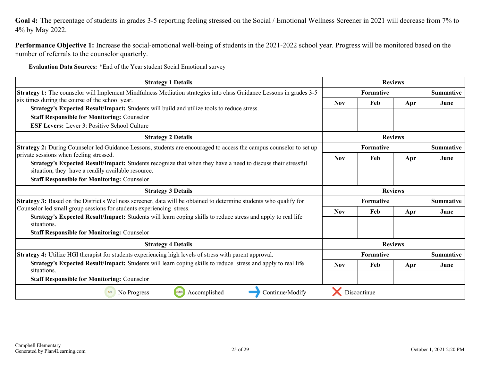<span id="page-24-0"></span>Goal 4: The percentage of students in grades 3-5 reporting feeling stressed on the Social / Emotional Wellness Screener in 2021 will decrease from 7% to 4% by May 2022.

**Performance Objective 1:** Increase the social-emotional well-being of students in the 2021-2022 school year. Progress will be monitored based on the number of referrals to the counselor quarterly.

**Evaluation Data Sources:** \*End of the Year student Social Emotional survey

| <b>Strategy 1 Details</b>                                                                                                                                         |                  |                                      | <b>Reviews</b> |                  |
|-------------------------------------------------------------------------------------------------------------------------------------------------------------------|------------------|--------------------------------------|----------------|------------------|
| <b>Strategy 1:</b> The counselor will Implement Mindfulness Mediation strategies into class Guidance Lessons in grades 3-5                                        |                  | <b>Formative</b>                     |                |                  |
| six times during the course of the school year.<br>Strategy's Expected Result/Impact: Students will build and utilize tools to reduce stress.                     | <b>Nov</b>       | Feb                                  | Apr            | June             |
| <b>Staff Responsible for Monitoring: Counselor</b>                                                                                                                |                  |                                      |                |                  |
| <b>ESF Levers:</b> Lever 3: Positive School Culture                                                                                                               |                  |                                      |                |                  |
| <b>Strategy 2 Details</b>                                                                                                                                         |                  |                                      | <b>Reviews</b> |                  |
| Strategy 2: During Counselor led Guidance Lessons, students are encouraged to access the campus counselor to set up                                               |                  | <b>Formative</b>                     |                |                  |
| private sessions when feeling stressed.                                                                                                                           | <b>Nov</b>       | Feb                                  | Apr            | June             |
| Strategy's Expected Result/Impact: Students recognize that when they have a need to discuss their stressful<br>situation, they have a readily available resource. |                  |                                      |                |                  |
| <b>Staff Responsible for Monitoring: Counselor</b>                                                                                                                |                  |                                      |                |                  |
| <b>Strategy 3 Details</b>                                                                                                                                         | <b>Reviews</b>   |                                      |                |                  |
| <b>Strategy 3:</b> Based on the District's Wellness screener, data will be obtained to determine students who qualify for                                         |                  | <b>Formative</b><br><b>Summative</b> |                |                  |
| Counselor led small group sessions for students experiencing stress.                                                                                              | <b>Nov</b>       | Feb                                  | Apr            | June             |
| Strategy's Expected Result/Impact: Students will learn coping skills to reduce stress and apply to real life<br>situations.                                       |                  |                                      |                |                  |
| <b>Staff Responsible for Monitoring: Counselor</b>                                                                                                                |                  |                                      |                |                  |
| <b>Strategy 4 Details</b>                                                                                                                                         |                  |                                      | <b>Reviews</b> |                  |
| Strategy 4: Utilize HGI therapist for students experiencing high levels of stress with parent approval.                                                           | <b>Formative</b> |                                      |                | <b>Summative</b> |
| Strategy's Expected Result/Impact: Students will learn coping skills to reduce stress and apply to real life<br>situations.                                       |                  | Feb                                  | Apr            | June             |
| <b>Staff Responsible for Monitoring: Counselor</b>                                                                                                                |                  |                                      |                |                  |
| Continue/Modify<br>No Progress<br>100%<br>Accomplished<br>0%                                                                                                      |                  | Discontinue                          |                |                  |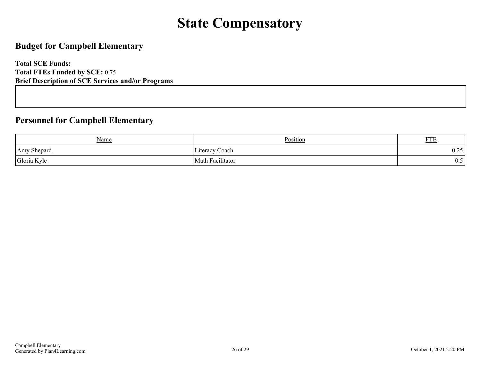# **State Compensatory**

### <span id="page-25-0"></span>**Budget for Campbell Elementary**

**Total SCE Funds: Total FTEs Funded by SCE:** 0.75 **Brief Description of SCE Services and/or Programs**

### **Personnel for Campbell Elementary**

| <b>Name</b> | Position                                | <b>DOD</b><br><u>FIE</u> |
|-------------|-----------------------------------------|--------------------------|
| Amy Shepard | Literacy Coach                          | 25<br>0.4J               |
| Gloria Kyle | $\cdot\cdot\cdot$<br>Math<br>acılıtator | ∪.∪                      |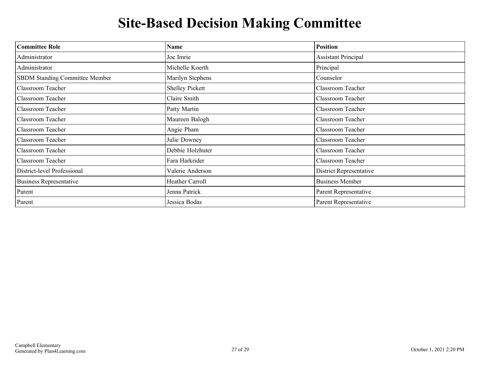# **Site-Based Decision Making Committee**

<span id="page-26-0"></span>

| <b>Committee Role</b>          | Name                   | <b>Position</b>                |
|--------------------------------|------------------------|--------------------------------|
| Administrator                  | Joe Imrie              | <b>Assistant Principal</b>     |
| Administrator                  | Michelle Koerth        | Principal                      |
| SBDM Standing Committee Member | Marilyn Stephens       | Counselor                      |
| Classroom Teacher              | <b>Shelley Pickett</b> | Classroom Teacher              |
| Classroom Teacher              | Claire Smith           | Classroom Teacher              |
| Classroom Teacher              | Patty Martin           | Classroom Teacher              |
| Classroom Teacher              | Maureen Balogh         | Classroom Teacher              |
| <b>Classroom Teacher</b>       | Angie Pham             | Classroom Teacher              |
| Classroom Teacher              | Julie Downey           | Classroom Teacher              |
| Classroom Teacher              | Debbie Holzhuter       | Classroom Teacher              |
| Classroom Teacher              | Fara Harkrider         | Classroom Teacher              |
| District-level Professional    | Valerie Anderson       | <b>District Representative</b> |
| <b>Business Representative</b> | Heather Carroll        | <b>Business Member</b>         |
| Parent                         | Jenna Patrick          | Parent Representative          |
| Parent                         | Jessica Bodas          | Parent Representative          |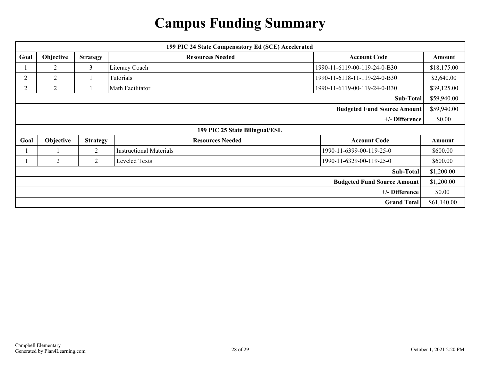# **Campus Funding Summary**

<span id="page-27-0"></span>

| 199 PIC 24 State Compensatory Ed (SCE) Accelerated |                |                 |                                |                                    |             |
|----------------------------------------------------|----------------|-----------------|--------------------------------|------------------------------------|-------------|
| Goal                                               | Objective      | <b>Strategy</b> | <b>Resources Needed</b>        | <b>Account Code</b>                | Amount      |
|                                                    | 2              | 3               | Literacy Coach                 | 1990-11-6119-00-119-24-0-B30       | \$18,175.00 |
| 2                                                  | $\overline{2}$ |                 | Tutorials                      | 1990-11-6118-11-119-24-0-B30       | \$2,640.00  |
| $\overline{2}$                                     | 2              |                 | Math Facilitator               | 1990-11-6119-00-119-24-0-B30       |             |
|                                                    | Sub-Total      |                 |                                | \$59,940.00                        |             |
|                                                    |                |                 |                                | <b>Budgeted Fund Source Amount</b> | \$59,940.00 |
| +/- Difference                                     |                |                 | \$0.00                         |                                    |             |
| 199 PIC 25 State Bilingual/ESL                     |                |                 |                                |                                    |             |
|                                                    |                |                 |                                |                                    |             |
| Goal                                               | Objective      | <b>Strategy</b> | <b>Resources Needed</b>        | <b>Account Code</b>                | Amount      |
|                                                    |                | $\overline{2}$  | <b>Instructional Materials</b> | 1990-11-6399-00-119-25-0           | \$600.00    |
|                                                    | 2              | $\overline{2}$  | Leveled Texts                  | 1990-11-6329-00-119-25-0           | \$600.00    |
|                                                    |                |                 |                                | Sub-Total                          | \$1,200.00  |
|                                                    |                |                 |                                | <b>Budgeted Fund Source Amount</b> | \$1,200.00  |
|                                                    |                |                 |                                | +/- Difference                     | \$0.00      |